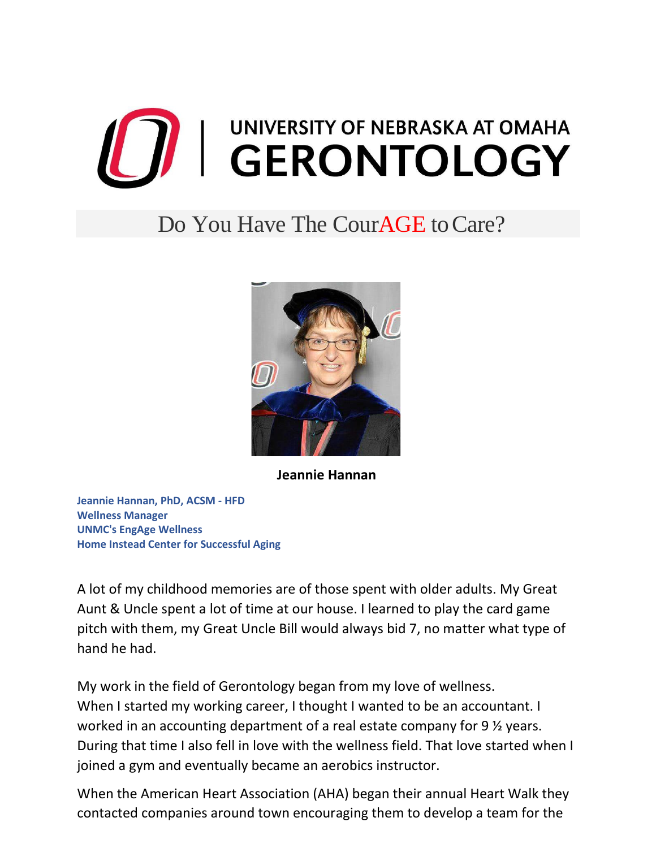

## Do You Have The Cour**AGE** to Care?



**Jeannie Hannan**

**Jeannie Hannan, PhD, ACSM - HFD Wellness Manager UNMC's EngAge Wellness Home Instead Center for Successful Aging**

A lot of my childhood memories are of those spent with older adults. My Great Aunt & Uncle spent a lot of time at our house. I learned to play the card game pitch with them, my Great Uncle Bill would always bid 7, no matter what type of hand he had.

My work in the field of Gerontology began from my love of wellness. When I started my working career, I thought I wanted to be an accountant. I worked in an accounting department of a real estate company for 9  $\frac{1}{2}$  years. During that time I also fell in love with the wellness field. That love started when I joined a gym and eventually became an aerobics instructor.

When the American Heart Association (AHA) began their annual Heart Walk they contacted companies around town encouraging them to develop a team for the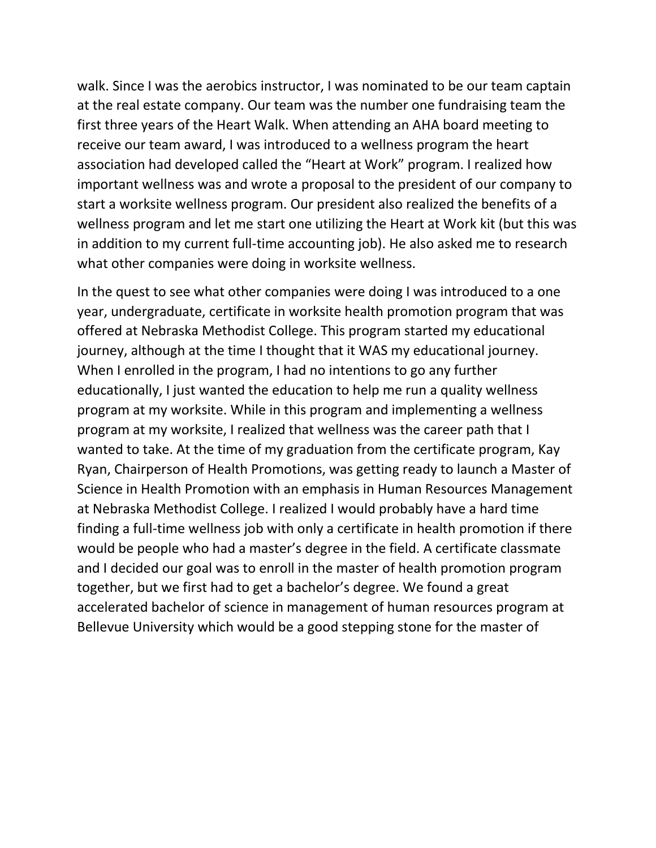walk. Since I was the aerobics instructor, I was nominated to be our team captain at the real estate company. Our team was the number one fundraising team the first three years of the Heart Walk. When attending an AHA board meeting to receive our team award, I was introduced to a wellness program the heart association had developed called the "Heart at Work" program. I realized how important wellness was and wrote a proposal to the president of our company to start a worksite wellness program. Our president also realized the benefits of a wellness program and let me start one utilizing the Heart at Work kit (but this was in addition to my current full-time accounting job). He also asked me to research what other companies were doing in worksite wellness.

In the quest to see what other companies were doing I was introduced to a one year, undergraduate, certificate in worksite health promotion program that was offered at Nebraska Methodist College. This program started my educational journey, although at the time I thought that it WAS my educational journey. When I enrolled in the program, I had no intentions to go any further educationally, I just wanted the education to help me run a quality wellness program at my worksite. While in this program and implementing a wellness program at my worksite, I realized that wellness was the career path that I wanted to take. At the time of my graduation from the certificate program, Kay Ryan, Chairperson of Health Promotions, was getting ready to launch a Master of Science in Health Promotion with an emphasis in Human Resources Management at Nebraska Methodist College. I realized I would probably have a hard time finding a full-time wellness job with only a certificate in health promotion if there would be people who had a master's degree in the field. A certificate classmate and I decided our goal was to enroll in the master of health promotion program together, but we first had to get a bachelor's degree. We found a great accelerated bachelor of science in management of human resources program at Bellevue University which would be a good stepping stone for the master of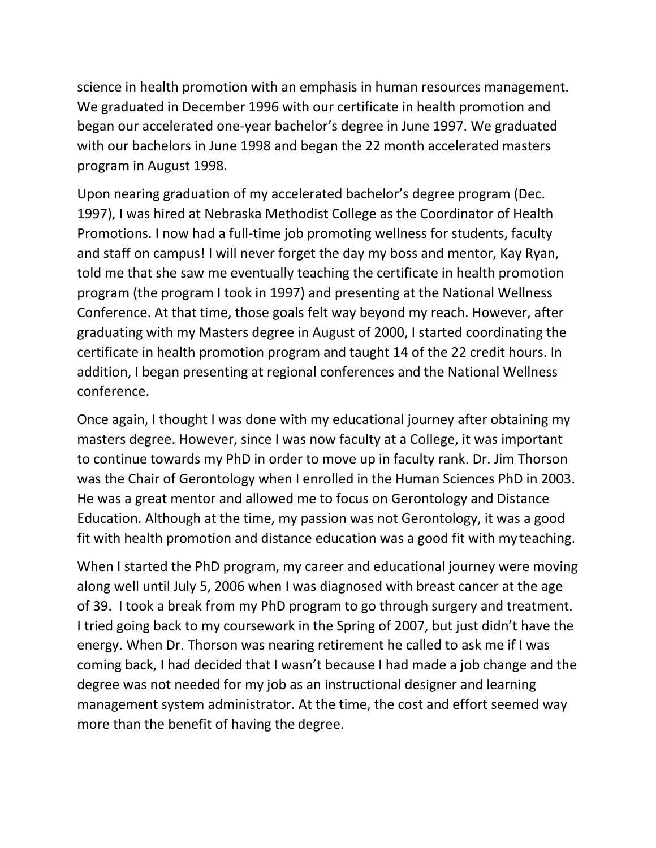science in health promotion with an emphasis in human resources management. We graduated in December 1996 with our certificate in health promotion and began our accelerated one-year bachelor's degree in June 1997. We graduated with our bachelors in June 1998 and began the 22 month accelerated masters program in August 1998.

Upon nearing graduation of my accelerated bachelor's degree program (Dec. 1997), I was hired at Nebraska Methodist College as the Coordinator of Health Promotions. I now had a full-time job promoting wellness for students, faculty and staff on campus! I will never forget the day my boss and mentor, Kay Ryan, told me that she saw me eventually teaching the certificate in health promotion program (the program I took in 1997) and presenting at the National Wellness Conference. At that time, those goals felt way beyond my reach. However, after graduating with my Masters degree in August of 2000, I started coordinating the certificate in health promotion program and taught 14 of the 22 credit hours. In addition, I began presenting at regional conferences and the National Wellness conference.

Once again, I thought I was done with my educational journey after obtaining my masters degree. However, since I was now faculty at a College, it was important to continue towards my PhD in order to move up in faculty rank. Dr. Jim Thorson was the Chair of Gerontology when I enrolled in the Human Sciences PhD in 2003. He was a great mentor and allowed me to focus on Gerontology and Distance Education. Although at the time, my passion was not Gerontology, it was a good fit with health promotion and distance education was a good fit with my teaching.

When I started the PhD program, my career and educational journey were moving along well until July 5, 2006 when I was diagnosed with breast cancer at the age of 39. I took a break from my PhD program to go through surgery and treatment. I tried going back to my coursework in the Spring of 2007, but just didn't have the energy. When Dr. Thorson was nearing retirement he called to ask me if I was coming back, I had decided that I wasn't because I had made a job change and the degree was not needed for my job as an instructional designer and learning management system administrator. At the time, the cost and effort seemed way more than the benefit of having the degree.